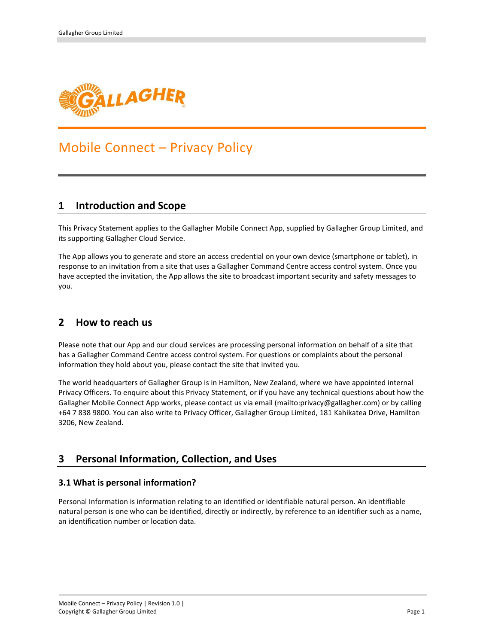

# Mobile Connect – Privacy Policy

### **1 Introduction and Scope**

This Privacy Statement applies to the Gallagher Mobile Connect App, supplied by Gallagher Group Limited, and its supporting Gallagher Cloud Service.

The App allows you to generate and store an access credential on your own device (smartphone or tablet), in response to an invitation from a site that uses a Gallagher Command Centre access control system. Once you have accepted the invitation, the App allows the site to broadcast important security and safety messages to you.

# **2 How to reach us**

Please note that our App and our cloud services are processing personal information on behalf of a site that has a Gallagher Command Centre access control system. For questions or complaints about the personal information they hold about you, please contact the site that invited you.

The world headquarters of Gallagher Group is in Hamilton, New Zealand, where we have appointed internal Privacy Officers. To enquire about this Privacy Statement, or if you have any technical questions about how the Gallagher Mobile Connect App works, please contact us via email (mailto:privacy@gallagher.com) or by calling +64 7 838 9800. You can also write to Privacy Officer, Gallagher Group Limited, 181 Kahikatea Drive, Hamilton 3206, New Zealand.

# **3 Personal Information, Collection, and Uses**

### **3.1 What is personal information?**

Personal Information is information relating to an identified or identifiable natural person. An identifiable natural person is one who can be identified, directly or indirectly, by reference to an identifier such as a name, an identification number or location data.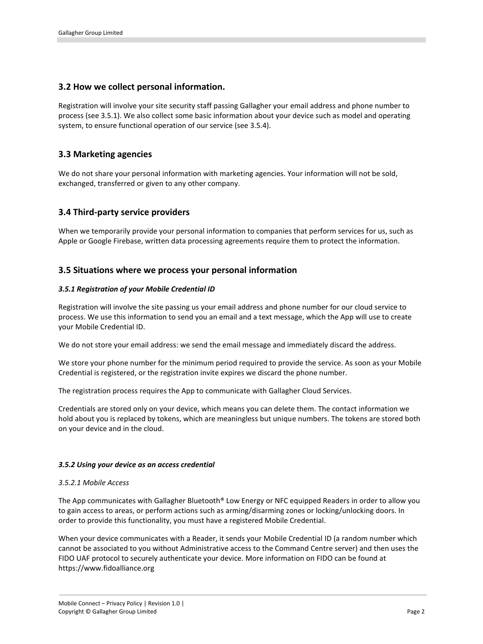### **3.2 How we collect personal information.**

Registration will involve your site security staff passing Gallagher your email address and phone number to process (see 3.5.1). We also collect some basic information about your device such as model and operating system, to ensure functional operation of our service (see 3.5.4).

### **3.3 Marketing agencies**

We do not share your personal information with marketing agencies. Your information will not be sold, exchanged, transferred or given to any other company.

### **3.4 Third-party service providers**

When we temporarily provide your personal information to companies that perform services for us, such as Apple or Google Firebase, written data processing agreements require them to protect the information.

### **3.5 Situations where we process your personal information**

#### *3.5.1 Registration of your Mobile Credential ID*

Registration will involve the site passing us your email address and phone number for our cloud service to process. We use this information to send you an email and a text message, which the App will use to create your Mobile Credential ID.

We do not store your email address: we send the email message and immediately discard the address.

We store your phone number for the minimum period required to provide the service. As soon as your Mobile Credential is registered, or the registration invite expires we discard the phone number.

The registration process requires the App to communicate with Gallagher Cloud Services.

Credentials are stored only on your device, which means you can delete them. The contact information we hold about you is replaced by tokens, which are meaningless but unique numbers. The tokens are stored both on your device and in the cloud.

#### *3.5.2 Using your device as an access credential*

#### *3.5.2.1 Mobile Access*

The App communicates with Gallagher Bluetooth® Low Energy or NFC equipped Readers in order to allow you to gain access to areas, or perform actions such as arming/disarming zones or locking/unlocking doors. In order to provide this functionality, you must have a registered Mobile Credential.

When your device communicates with a Reader, it sends your Mobile Credential ID (a random number which cannot be associated to you without Administrative access to the Command Centre server) and then uses the FIDO UAF protocol to securely authenticate your device. More information on FIDO can be found at https://www.fidoalliance.org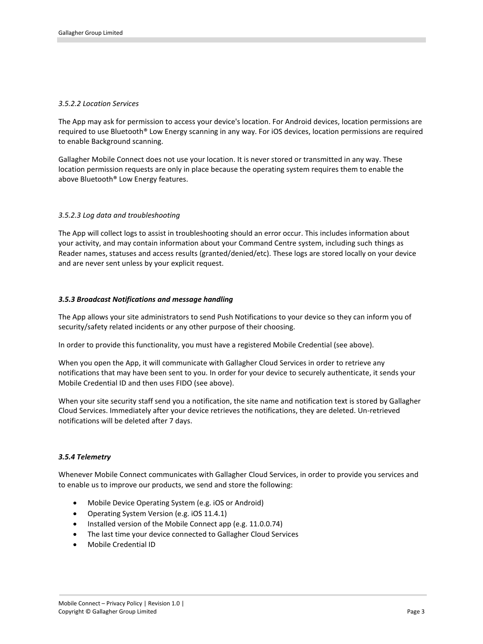#### *3.5.2.2 Location Services*

The App may ask for permission to access your device's location. For Android devices, location permissions are required to use Bluetooth® Low Energy scanning in any way. For iOS devices, location permissions are required to enable Background scanning.

Gallagher Mobile Connect does not use your location. It is never stored or transmitted in any way. These location permission requests are only in place because the operating system requires them to enable the above Bluetooth® Low Energy features.

#### *3.5.2.3 Log data and troubleshooting*

The App will collect logs to assist in troubleshooting should an error occur. This includes information about your activity, and may contain information about your Command Centre system, including such things as Reader names, statuses and access results (granted/denied/etc). These logs are stored locally on your device and are never sent unless by your explicit request.

#### *3.5.3 Broadcast Notifications and message handling*

The App allows your site administrators to send Push Notifications to your device so they can inform you of security/safety related incidents or any other purpose of their choosing.

In order to provide this functionality, you must have a registered Mobile Credential (see above).

When you open the App, it will communicate with Gallagher Cloud Services in order to retrieve any notifications that may have been sent to you. In order for your device to securely authenticate, it sends your Mobile Credential ID and then uses FIDO (see above).

When your site security staff send you a notification, the site name and notification text is stored by Gallagher Cloud Services. Immediately after your device retrieves the notifications, they are deleted. Un-retrieved notifications will be deleted after 7 days.

### *3.5.4 Telemetry*

Whenever Mobile Connect communicates with Gallagher Cloud Services, in order to provide you services and to enable us to improve our products, we send and store the following:

- Mobile Device Operating System (e.g. iOS or Android)
- Operating System Version (e.g. iOS 11.4.1)
- Installed version of the Mobile Connect app (e.g. 11.0.0.74)
- The last time your device connected to Gallagher Cloud Services
- Mobile Credential ID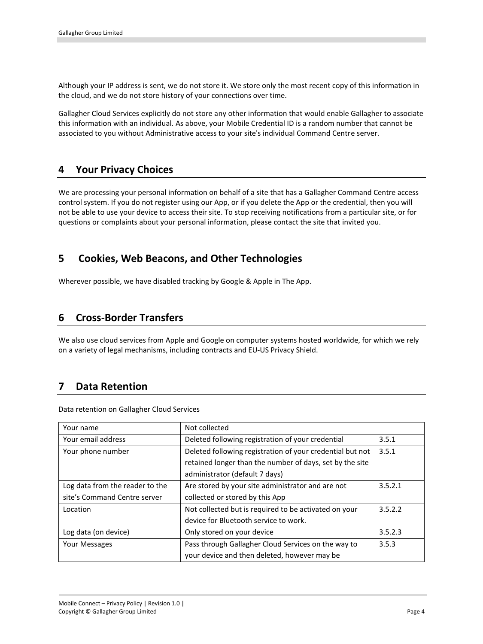Although your IP address is sent, we do not store it. We store only the most recent copy of this information in the cloud, and we do not store history of your connections over time.

Gallagher Cloud Services explicitly do not store any other information that would enable Gallagher to associate this information with an individual. As above, your Mobile Credential ID is a random number that cannot be associated to you without Administrative access to your site's individual Command Centre server.

# **4 Your Privacy Choices**

We are processing your personal information on behalf of a site that has a Gallagher Command Centre access control system. If you do not register using our App, or if you delete the App or the credential, then you will not be able to use your device to access their site. To stop receiving notifications from a particular site, or for questions or complaints about your personal information, please contact the site that invited you.

# **5 Cookies, Web Beacons, and Other Technologies**

Wherever possible, we have disabled tracking by Google & Apple in The App.

### **6 Cross-Border Transfers**

We also use cloud services from Apple and Google on computer systems hosted worldwide, for which we rely on a variety of legal mechanisms, including contracts and EU-US Privacy Shield.

# **7 Data Retention**

Data retention on Gallagher Cloud Services

| Your name                       | Not collected                                             |         |
|---------------------------------|-----------------------------------------------------------|---------|
| Your email address              | Deleted following registration of your credential         | 3.5.1   |
| Your phone number               | Deleted following registration of your credential but not | 3.5.1   |
|                                 | retained longer than the number of days, set by the site  |         |
|                                 | administrator (default 7 days)                            |         |
| Log data from the reader to the | Are stored by your site administrator and are not         | 3.5.2.1 |
| site's Command Centre server    | collected or stored by this App                           |         |
| Location                        | Not collected but is required to be activated on your     | 3.5.2.2 |
|                                 | device for Bluetooth service to work.                     |         |
| Log data (on device)            | Only stored on your device                                | 3.5.2.3 |
| Your Messages                   | Pass through Gallagher Cloud Services on the way to       | 3.5.3   |
|                                 | your device and then deleted, however may be              |         |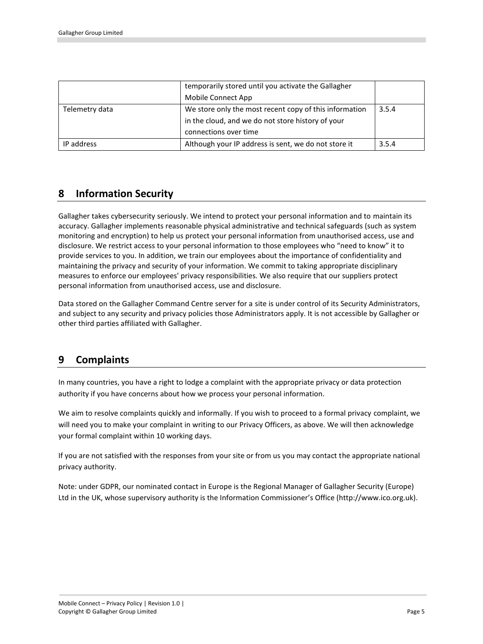|                | temporarily stored until you activate the Gallagher    |       |
|----------------|--------------------------------------------------------|-------|
|                | Mobile Connect App                                     |       |
| Telemetry data | We store only the most recent copy of this information | 3.5.4 |
|                | in the cloud, and we do not store history of your      |       |
|                | connections over time                                  |       |
| IP address     | Although your IP address is sent, we do not store it   | 3.5.4 |

# **8 Information Security**

Gallagher takes cybersecurity seriously. We intend to protect your personal information and to maintain its accuracy. Gallagher implements reasonable physical administrative and technical safeguards (such as system monitoring and encryption) to help us protect your personal information from unauthorised access, use and disclosure. We restrict access to your personal information to those employees who "need to know" it to provide services to you. In addition, we train our employees about the importance of confidentiality and maintaining the privacy and security of your information. We commit to taking appropriate disciplinary measures to enforce our employees' privacy responsibilities. We also require that our suppliers protect personal information from unauthorised access, use and disclosure.

Data stored on the Gallagher Command Centre server for a site is under control of its Security Administrators, and subject to any security and privacy policies those Administrators apply. It is not accessible by Gallagher or other third parties affiliated with Gallagher.

# **9 Complaints**

In many countries, you have a right to lodge a complaint with the appropriate privacy or data protection authority if you have concerns about how we process your personal information.

We aim to resolve complaints quickly and informally. If you wish to proceed to a formal privacy complaint, we will need you to make your complaint in writing to our Privacy Officers, as above. We will then acknowledge your formal complaint within 10 working days.

If you are not satisfied with the responses from your site or from us you may contact the appropriate national privacy authority.

Note: under GDPR, our nominated contact in Europe is the Regional Manager of Gallagher Security (Europe) Ltd in the UK, whose supervisory authority is the Information Commissioner's Office (http://www.ico.org.uk).